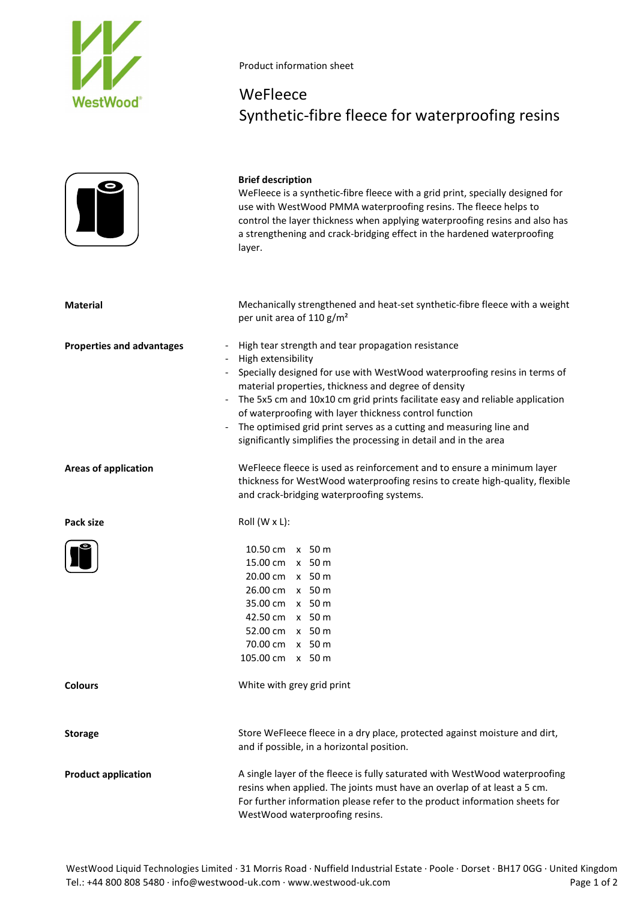

## Product information sheet

## WeFleece Synthetic-fibre fleece for waterproofing resins

| $\left \mathbf{J}\right $        | <b>Brief description</b><br>WeFleece is a synthetic-fibre fleece with a grid print, specially designed for<br>use with WestWood PMMA waterproofing resins. The fleece helps to<br>control the layer thickness when applying waterproofing resins and also has<br>a strengthening and crack-bridging effect in the hardened waterproofing<br>layer.                                                                                                                                                  |
|----------------------------------|-----------------------------------------------------------------------------------------------------------------------------------------------------------------------------------------------------------------------------------------------------------------------------------------------------------------------------------------------------------------------------------------------------------------------------------------------------------------------------------------------------|
| <b>Material</b>                  | Mechanically strengthened and heat-set synthetic-fibre fleece with a weight<br>per unit area of 110 g/m <sup>2</sup>                                                                                                                                                                                                                                                                                                                                                                                |
| <b>Properties and advantages</b> | High tear strength and tear propagation resistance<br>High extensibility<br>Specially designed for use with WestWood waterproofing resins in terms of<br>material properties, thickness and degree of density<br>The 5x5 cm and 10x10 cm grid prints facilitate easy and reliable application<br>of waterproofing with layer thickness control function<br>The optimised grid print serves as a cutting and measuring line and<br>significantly simplifies the processing in detail and in the area |
| <b>Areas of application</b>      | WeFleece fleece is used as reinforcement and to ensure a minimum layer<br>thickness for WestWood waterproofing resins to create high-quality, flexible<br>and crack-bridging waterproofing systems.                                                                                                                                                                                                                                                                                                 |
| Pack size                        | Roll (W x L):                                                                                                                                                                                                                                                                                                                                                                                                                                                                                       |
|                                  | 10.50 cm x 50 m<br>15.00 cm x 50 m<br>20.00 cm x 50 m<br>26.00 cm x 50 m<br>35.00 cm x 50 m<br>42.50 cm x 50 m<br>52.00 cm x 50 m<br>70.00 cm x 50 m<br>105.00 cm x 50 m                                                                                                                                                                                                                                                                                                                            |
| <b>Colours</b>                   | White with grey grid print                                                                                                                                                                                                                                                                                                                                                                                                                                                                          |
| <b>Storage</b>                   | Store WeFleece fleece in a dry place, protected against moisture and dirt,<br>and if possible, in a horizontal position.                                                                                                                                                                                                                                                                                                                                                                            |
| <b>Product application</b>       | A single layer of the fleece is fully saturated with WestWood waterproofing<br>resins when applied. The joints must have an overlap of at least a 5 cm.<br>For further information please refer to the product information sheets for<br>WestWood waterproofing resins.                                                                                                                                                                                                                             |